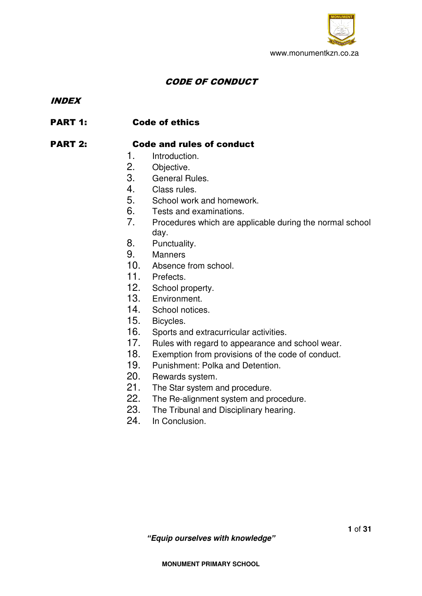

# CODE OF CONDUCT

### INDEX

# PART 1: Code of ethics

# PART 2: Code and rules of conduct

- 1. Introduction.
- 2. Objective.
- 3. General Rules.
- 4. Class rules.
- 5. School work and homework.
- 6. Tests and examinations.
- 7. Procedures which are applicable during the normal school day.
- 8. Punctuality.
- 9. Manners
- 10. Absence from school.
- 11. Prefects.
- 12. School property.
- 13. Environment.
- 14. School notices.
- 15. Bicycles.
- 16. Sports and extracurricular activities.
- 17. Rules with regard to appearance and school wear.
- 18. Exemption from provisions of the code of conduct.
- 19. Punishment: Polka and Detention.
- 20. Rewards system.
- 21. The Star system and procedure.
- 22. The Re-alignment system and procedure.<br>23. The Tribunal and Disciplinary hearing.
- The Tribunal and Disciplinary hearing.
- 24. In Conclusion.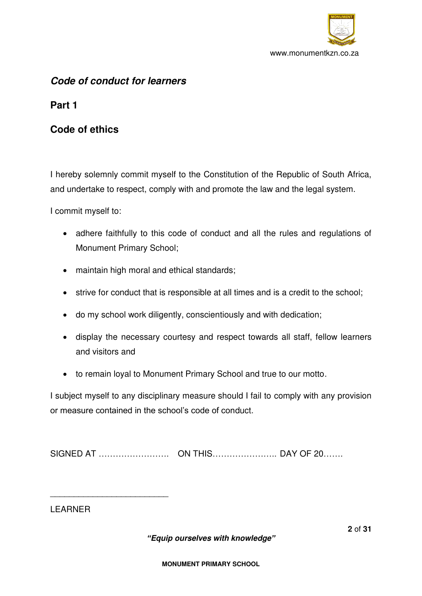

# *Code of conduct for learners*

**Part 1** 

# **Code of ethics**

I hereby solemnly commit myself to the Constitution of the Republic of South Africa, and undertake to respect, comply with and promote the law and the legal system.

I commit myself to:

- adhere faithfully to this code of conduct and all the rules and regulations of Monument Primary School;
- maintain high moral and ethical standards;
- strive for conduct that is responsible at all times and is a credit to the school;
- do my school work diligently, conscientiously and with dedication;
- display the necessary courtesy and respect towards all staff, fellow learners and visitors and
- to remain loyal to Monument Primary School and true to our motto.

I subject myself to any disciplinary measure should I fail to comply with any provision or measure contained in the school's code of conduct.

SIGNED AT ……………………. ON THIS………………….. DAY OF 20…….

LEARNER

\_\_\_\_\_\_\_\_\_\_\_\_\_\_\_\_\_\_\_\_\_\_\_\_\_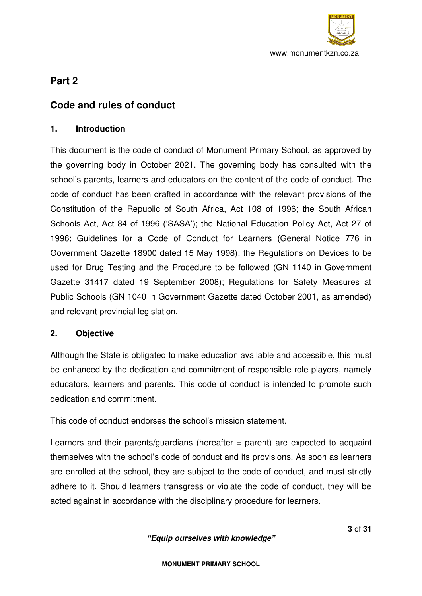

# **Part 2**

# **Code and rules of conduct**

# **1. Introduction**

This document is the code of conduct of Monument Primary School, as approved by the governing body in October 2021. The governing body has consulted with the school's parents, learners and educators on the content of the code of conduct. The code of conduct has been drafted in accordance with the relevant provisions of the Constitution of the Republic of South Africa, Act 108 of 1996; the South African Schools Act, Act 84 of 1996 ('SASA'); the National Education Policy Act, Act 27 of 1996; Guidelines for a Code of Conduct for Learners (General Notice 776 in Government Gazette 18900 dated 15 May 1998); the Regulations on Devices to be used for Drug Testing and the Procedure to be followed (GN 1140 in Government Gazette 31417 dated 19 September 2008); Regulations for Safety Measures at Public Schools (GN 1040 in Government Gazette dated October 2001, as amended) and relevant provincial legislation.

# **2. Objective**

Although the State is obligated to make education available and accessible, this must be enhanced by the dedication and commitment of responsible role players, namely educators, learners and parents. This code of conduct is intended to promote such dedication and commitment.

This code of conduct endorses the school's mission statement.

Learners and their parents/guardians (hereafter  $=$  parent) are expected to acquaint themselves with the school's code of conduct and its provisions. As soon as learners are enrolled at the school, they are subject to the code of conduct, and must strictly adhere to it. Should learners transgress or violate the code of conduct, they will be acted against in accordance with the disciplinary procedure for learners.

*"Equip ourselves with knowledge"*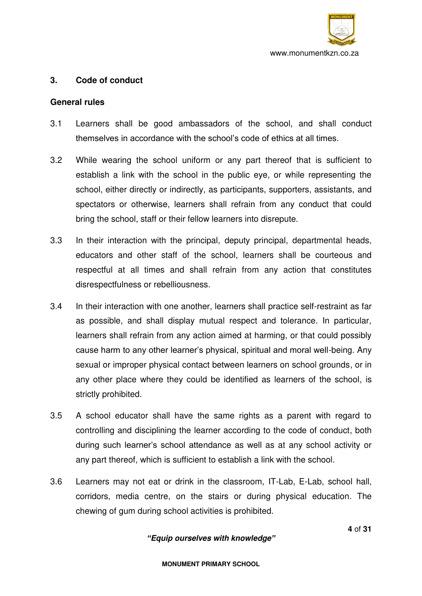

## **3. Code of conduct**

### **General rules**

- 3.1 Learners shall be good ambassadors of the school, and shall conduct themselves in accordance with the school's code of ethics at all times.
- 3.2 While wearing the school uniform or any part thereof that is sufficient to establish a link with the school in the public eye, or while representing the school, either directly or indirectly, as participants, supporters, assistants, and spectators or otherwise, learners shall refrain from any conduct that could bring the school, staff or their fellow learners into disrepute.
- 3.3 In their interaction with the principal, deputy principal, departmental heads, educators and other staff of the school, learners shall be courteous and respectful at all times and shall refrain from any action that constitutes disrespectfulness or rebelliousness.
- 3.4 In their interaction with one another, learners shall practice self-restraint as far as possible, and shall display mutual respect and tolerance. In particular, learners shall refrain from any action aimed at harming, or that could possibly cause harm to any other learner's physical, spiritual and moral well-being. Any sexual or improper physical contact between learners on school grounds, or in any other place where they could be identified as learners of the school, is strictly prohibited.
- 3.5 A school educator shall have the same rights as a parent with regard to controlling and disciplining the learner according to the code of conduct, both during such learner's school attendance as well as at any school activity or any part thereof, which is sufficient to establish a link with the school.
- 3.6 Learners may not eat or drink in the classroom, IT-Lab, E-Lab, school hall, corridors, media centre, on the stairs or during physical education. The chewing of gum during school activities is prohibited.

### *"Equip ourselves with knowledge"*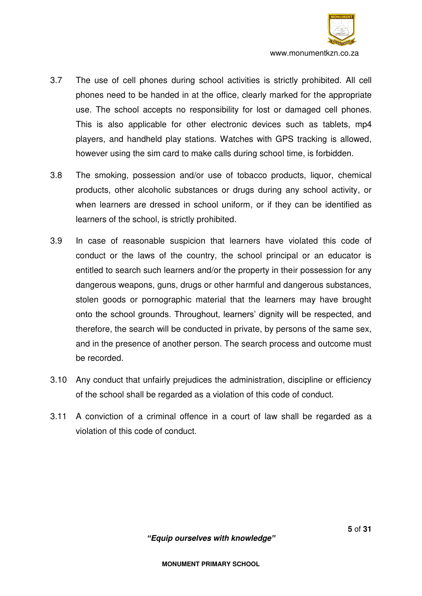

- 3.7 The use of cell phones during school activities is strictly prohibited. All cell phones need to be handed in at the office, clearly marked for the appropriate use. The school accepts no responsibility for lost or damaged cell phones. This is also applicable for other electronic devices such as tablets, mp4 players, and handheld play stations. Watches with GPS tracking is allowed, however using the sim card to make calls during school time, is forbidden.
- 3.8 The smoking, possession and/or use of tobacco products, liquor, chemical products, other alcoholic substances or drugs during any school activity, or when learners are dressed in school uniform, or if they can be identified as learners of the school, is strictly prohibited.
- 3.9 In case of reasonable suspicion that learners have violated this code of conduct or the laws of the country, the school principal or an educator is entitled to search such learners and/or the property in their possession for any dangerous weapons, guns, drugs or other harmful and dangerous substances, stolen goods or pornographic material that the learners may have brought onto the school grounds. Throughout, learners' dignity will be respected, and therefore, the search will be conducted in private, by persons of the same sex, and in the presence of another person. The search process and outcome must be recorded.
- 3.10 Any conduct that unfairly prejudices the administration, discipline or efficiency of the school shall be regarded as a violation of this code of conduct.
- 3.11 A conviction of a criminal offence in a court of law shall be regarded as a violation of this code of conduct.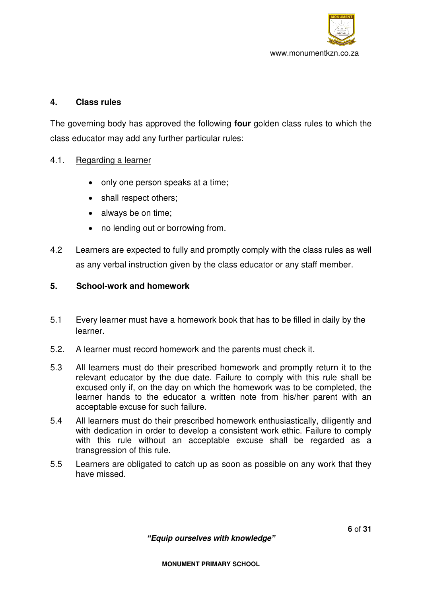

## **4. Class rules**

The governing body has approved the following **four** golden class rules to which the class educator may add any further particular rules:

## 4.1. Regarding a learner

- only one person speaks at a time:
- shall respect others;
- always be on time;
- no lending out or borrowing from.
- 4.2 Learners are expected to fully and promptly comply with the class rules as well as any verbal instruction given by the class educator or any staff member.

## **5. School-work and homework**

- 5.1 Every learner must have a homework book that has to be filled in daily by the learner.
- 5.2. A learner must record homework and the parents must check it.
- 5.3 All learners must do their prescribed homework and promptly return it to the relevant educator by the due date. Failure to comply with this rule shall be excused only if, on the day on which the homework was to be completed, the learner hands to the educator a written note from his/her parent with an acceptable excuse for such failure.
- 5.4 All learners must do their prescribed homework enthusiastically, diligently and with dedication in order to develop a consistent work ethic. Failure to comply with this rule without an acceptable excuse shall be regarded as a transgression of this rule.
- 5.5 Learners are obligated to catch up as soon as possible on any work that they have missed.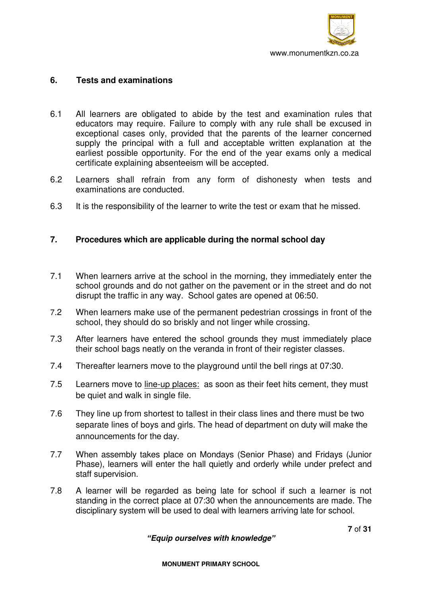

## **6. Tests and examinations**

- 6.1 All learners are obligated to abide by the test and examination rules that educators may require. Failure to comply with any rule shall be excused in exceptional cases only, provided that the parents of the learner concerned supply the principal with a full and acceptable written explanation at the earliest possible opportunity. For the end of the year exams only a medical certificate explaining absenteeism will be accepted.
- 6.2 Learners shall refrain from any form of dishonesty when tests and examinations are conducted.
- 6.3 It is the responsibility of the learner to write the test or exam that he missed.

## **7. Procedures which are applicable during the normal school day**

- 7.1 When learners arrive at the school in the morning, they immediately enter the school grounds and do not gather on the pavement or in the street and do not disrupt the traffic in any way. School gates are opened at 06:50.
- 7.2 When learners make use of the permanent pedestrian crossings in front of the school, they should do so briskly and not linger while crossing.
- 7.3 After learners have entered the school grounds they must immediately place their school bags neatly on the veranda in front of their register classes.
- 7.4 Thereafter learners move to the playground until the bell rings at 07:30.
- 7.5 Learners move to line-up places: as soon as their feet hits cement, they must be quiet and walk in single file.
- 7.6 They line up from shortest to tallest in their class lines and there must be two separate lines of boys and girls. The head of department on duty will make the announcements for the day.
- 7.7 When assembly takes place on Mondays (Senior Phase) and Fridays (Junior Phase), learners will enter the hall quietly and orderly while under prefect and staff supervision.
- 7.8 A learner will be regarded as being late for school if such a learner is not standing in the correct place at 07:30 when the announcements are made. The disciplinary system will be used to deal with learners arriving late for school.

*"Equip ourselves with knowledge"*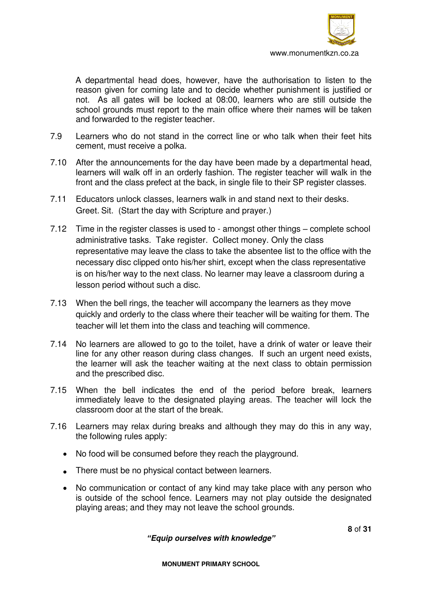

 A departmental head does, however, have the authorisation to listen to the reason given for coming late and to decide whether punishment is justified or not. As all gates will be locked at 08:00, learners who are still outside the school grounds must report to the main office where their names will be taken and forwarded to the register teacher.

- 7.9 Learners who do not stand in the correct line or who talk when their feet hits cement, must receive a polka.
- 7.10 After the announcements for the day have been made by a departmental head, learners will walk off in an orderly fashion. The register teacher will walk in the front and the class prefect at the back, in single file to their SP register classes.
- 7.11 Educators unlock classes, learners walk in and stand next to their desks. Greet. Sit. (Start the day with Scripture and prayer.)
- 7.12 Time in the register classes is used to amongst other things complete school administrative tasks. Take register. Collect money. Only the class representative may leave the class to take the absentee list to the office with the necessary disc clipped onto his/her shirt, except when the class representative is on his/her way to the next class. No learner may leave a classroom during a lesson period without such a disc.
- 7.13 When the bell rings, the teacher will accompany the learners as they move quickly and orderly to the class where their teacher will be waiting for them. The teacher will let them into the class and teaching will commence.
- 7.14 No learners are allowed to go to the toilet, have a drink of water or leave their line for any other reason during class changes. If such an urgent need exists, the learner will ask the teacher waiting at the next class to obtain permission and the prescribed disc.
- 7.15 When the bell indicates the end of the period before break, learners immediately leave to the designated playing areas. The teacher will lock the classroom door at the start of the break.
- 7.16 Learners may relax during breaks and although they may do this in any way, the following rules apply:
	- No food will be consumed before they reach the playground.
	- There must be no physical contact between learners.
	- No communication or contact of any kind may take place with any person who is outside of the school fence. Learners may not play outside the designated playing areas; and they may not leave the school grounds.

*"Equip ourselves with knowledge"*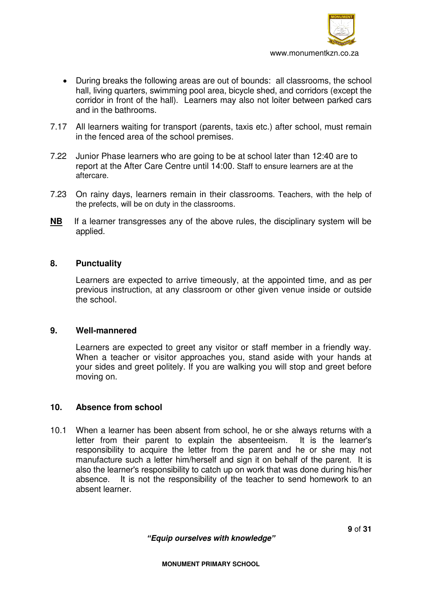

- During breaks the following areas are out of bounds: all classrooms, the school hall, living quarters, swimming pool area, bicycle shed, and corridors (except the corridor in front of the hall). Learners may also not loiter between parked cars and in the bathrooms.
- 7.17 All learners waiting for transport (parents, taxis etc.) after school, must remain in the fenced area of the school premises.
- 7.22 Junior Phase learners who are going to be at school later than 12:40 are to report at the After Care Centre until 14:00. Staff to ensure learners are at the aftercare.
- 7.23 On rainy days, learners remain in their classrooms. Teachers, with the help of the prefects, will be on duty in the classrooms.
- **NB** If a learner transgresses any of the above rules, the disciplinary system will be applied.

#### **8. Punctuality**

Learners are expected to arrive timeously, at the appointed time, and as per previous instruction, at any classroom or other given venue inside or outside the school.

#### **9. Well-mannered**

Learners are expected to greet any visitor or staff member in a friendly way. When a teacher or visitor approaches you, stand aside with your hands at your sides and greet politely. If you are walking you will stop and greet before moving on.

#### **10. Absence from school**

10.1 When a learner has been absent from school, he or she always returns with a letter from their parent to explain the absenteeism. It is the learner's responsibility to acquire the letter from the parent and he or she may not manufacture such a letter him/herself and sign it on behalf of the parent. It is also the learner's responsibility to catch up on work that was done during his/her absence. It is not the responsibility of the teacher to send homework to an absent learner.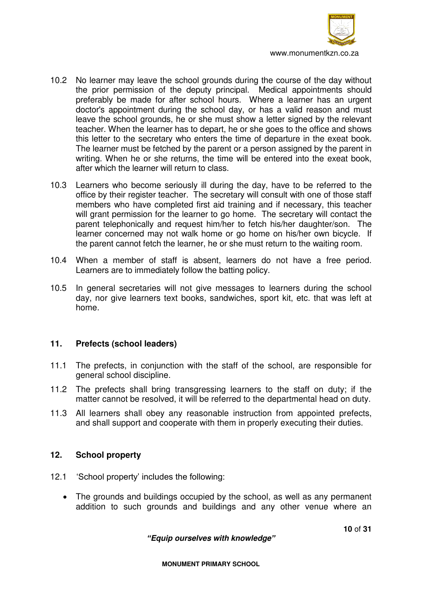

- 10.2 No learner may leave the school grounds during the course of the day without the prior permission of the deputy principal. Medical appointments should preferably be made for after school hours. Where a learner has an urgent doctor's appointment during the school day, or has a valid reason and must leave the school grounds, he or she must show a letter signed by the relevant teacher. When the learner has to depart, he or she goes to the office and shows this letter to the secretary who enters the time of departure in the exeat book. The learner must be fetched by the parent or a person assigned by the parent in writing. When he or she returns, the time will be entered into the exeat book, after which the learner will return to class.
- 10.3 Learners who become seriously ill during the day, have to be referred to the office by their register teacher. The secretary will consult with one of those staff members who have completed first aid training and if necessary, this teacher will grant permission for the learner to go home. The secretary will contact the parent telephonically and request him/her to fetch his/her daughter/son. The learner concerned may not walk home or go home on his/her own bicycle. If the parent cannot fetch the learner, he or she must return to the waiting room.
- 10.4 When a member of staff is absent, learners do not have a free period. Learners are to immediately follow the batting policy.
- 10.5 In general secretaries will not give messages to learners during the school day, nor give learners text books, sandwiches, sport kit, etc. that was left at home.

# **11. Prefects (school leaders)**

- 11.1 The prefects, in conjunction with the staff of the school, are responsible for general school discipline.
- 11.2 The prefects shall bring transgressing learners to the staff on duty; if the matter cannot be resolved, it will be referred to the departmental head on duty.
- 11.3 All learners shall obey any reasonable instruction from appointed prefects, and shall support and cooperate with them in properly executing their duties.

### **12. School property**

- 12.1 'School property' includes the following:
	- The grounds and buildings occupied by the school, as well as any permanent addition to such grounds and buildings and any other venue where an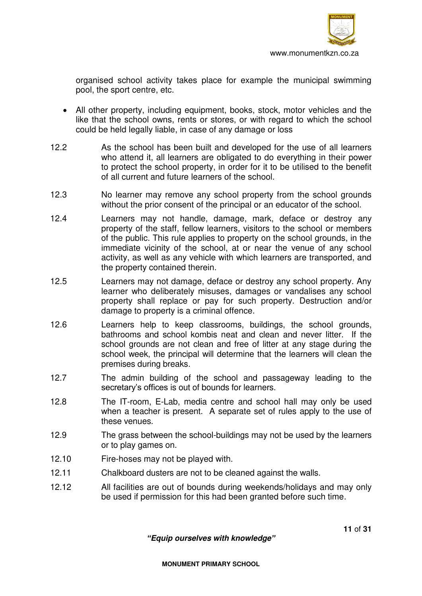

organised school activity takes place for example the municipal swimming pool, the sport centre, etc.

- All other property, including equipment, books, stock, motor vehicles and the like that the school owns, rents or stores, or with regard to which the school could be held legally liable, in case of any damage or loss
- 12.2 As the school has been built and developed for the use of all learners who attend it, all learners are obligated to do everything in their power to protect the school property, in order for it to be utilised to the benefit of all current and future learners of the school.
- 12.3 No learner may remove any school property from the school grounds without the prior consent of the principal or an educator of the school.
- 12.4 Learners may not handle, damage, mark, deface or destroy any property of the staff, fellow learners, visitors to the school or members of the public. This rule applies to property on the school grounds, in the immediate vicinity of the school, at or near the venue of any school activity, as well as any vehicle with which learners are transported, and the property contained therein.
- 12.5 Learners may not damage, deface or destroy any school property. Any learner who deliberately misuses, damages or vandalises any school property shall replace or pay for such property. Destruction and/or damage to property is a criminal offence.
- 12.6 Learners help to keep classrooms, buildings, the school grounds, bathrooms and school kombis neat and clean and never litter. If the school grounds are not clean and free of litter at any stage during the school week, the principal will determine that the learners will clean the premises during breaks.
- 12.7 The admin building of the school and passageway leading to the secretary's offices is out of bounds for learners.
- 12.8 The IT-room, E-Lab, media centre and school hall may only be used when a teacher is present. A separate set of rules apply to the use of these venues.
- 12.9 The grass between the school-buildings may not be used by the learners or to play games on.
- 12.10 Fire-hoses may not be played with.
- 12.11 Chalkboard dusters are not to be cleaned against the walls.
- 12.12 All facilities are out of bounds during weekends/holidays and may only be used if permission for this had been granted before such time.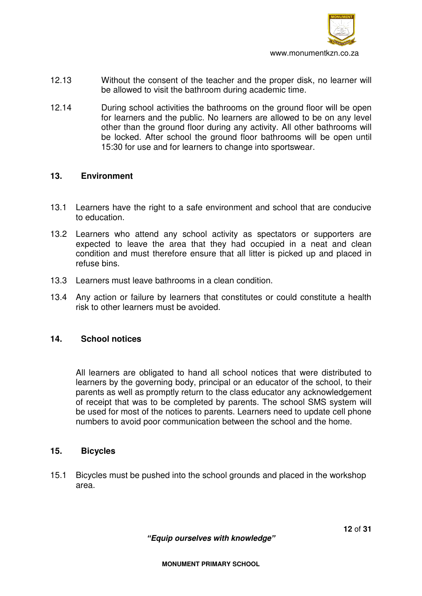

- 12.13 Without the consent of the teacher and the proper disk, no learner will be allowed to visit the bathroom during academic time.
- 12.14 During school activities the bathrooms on the ground floor will be open for learners and the public. No learners are allowed to be on any level other than the ground floor during any activity. All other bathrooms will be locked. After school the ground floor bathrooms will be open until 15:30 for use and for learners to change into sportswear.

#### **13. Environment**

- 13.1 Learners have the right to a safe environment and school that are conducive to education.
- 13.2 Learners who attend any school activity as spectators or supporters are expected to leave the area that they had occupied in a neat and clean condition and must therefore ensure that all litter is picked up and placed in refuse bins.
- 13.3 Learners must leave bathrooms in a clean condition.
- 13.4 Any action or failure by learners that constitutes or could constitute a health risk to other learners must be avoided.

### **14. School notices**

All learners are obligated to hand all school notices that were distributed to learners by the governing body, principal or an educator of the school, to their parents as well as promptly return to the class educator any acknowledgement of receipt that was to be completed by parents. The school SMS system will be used for most of the notices to parents. Learners need to update cell phone numbers to avoid poor communication between the school and the home.

#### **15. Bicycles**

15.1 Bicycles must be pushed into the school grounds and placed in the workshop area.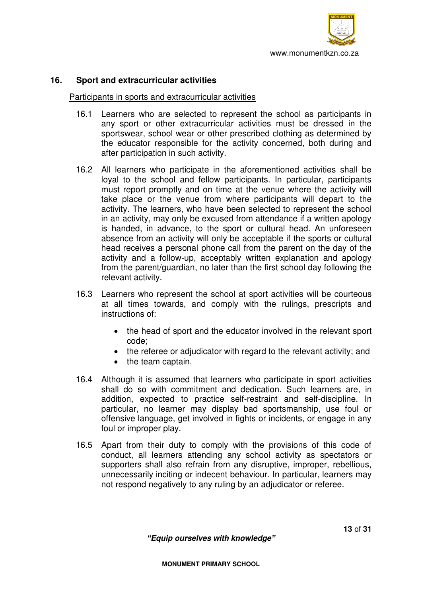

### **16. Sport and extracurricular activities**

#### Participants in sports and extracurricular activities

- 16.1 Learners who are selected to represent the school as participants in any sport or other extracurricular activities must be dressed in the sportswear, school wear or other prescribed clothing as determined by the educator responsible for the activity concerned, both during and after participation in such activity.
- 16.2 All learners who participate in the aforementioned activities shall be loyal to the school and fellow participants. In particular, participants must report promptly and on time at the venue where the activity will take place or the venue from where participants will depart to the activity. The learners, who have been selected to represent the school in an activity, may only be excused from attendance if a written apology is handed, in advance, to the sport or cultural head. An unforeseen absence from an activity will only be acceptable if the sports or cultural head receives a personal phone call from the parent on the day of the activity and a follow-up, acceptably written explanation and apology from the parent/guardian, no later than the first school day following the relevant activity.
- 16.3 Learners who represent the school at sport activities will be courteous at all times towards, and comply with the rulings, prescripts and instructions of:
	- the head of sport and the educator involved in the relevant sport code;
	- the referee or adjudicator with regard to the relevant activity; and
	- the team captain.
- 16.4 Although it is assumed that learners who participate in sport activities shall do so with commitment and dedication. Such learners are, in addition, expected to practice self-restraint and self-discipline. In particular, no learner may display bad sportsmanship, use foul or offensive language, get involved in fights or incidents, or engage in any foul or improper play.
- 16.5 Apart from their duty to comply with the provisions of this code of conduct, all learners attending any school activity as spectators or supporters shall also refrain from any disruptive, improper, rebellious, unnecessarily inciting or indecent behaviour. In particular, learners may not respond negatively to any ruling by an adjudicator or referee.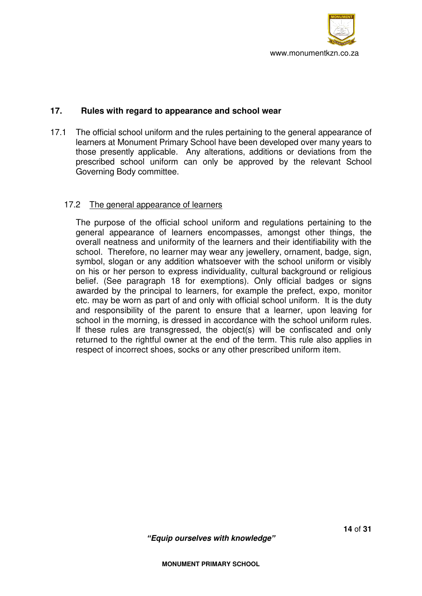

## **17. Rules with regard to appearance and school wear**

17.1 The official school uniform and the rules pertaining to the general appearance of learners at Monument Primary School have been developed over many years to those presently applicable. Any alterations, additions or deviations from the prescribed school uniform can only be approved by the relevant School Governing Body committee.

### 17.2 The general appearance of learners

 The purpose of the official school uniform and regulations pertaining to the general appearance of learners encompasses, amongst other things, the overall neatness and uniformity of the learners and their identifiability with the school. Therefore, no learner may wear any jewellery, ornament, badge, sign, symbol, slogan or any addition whatsoever with the school uniform or visibly on his or her person to express individuality, cultural background or religious belief. (See paragraph 18 for exemptions). Only official badges or signs awarded by the principal to learners, for example the prefect, expo, monitor etc. may be worn as part of and only with official school uniform. It is the duty and responsibility of the parent to ensure that a learner, upon leaving for school in the morning, is dressed in accordance with the school uniform rules. If these rules are transgressed, the object(s) will be confiscated and only returned to the rightful owner at the end of the term. This rule also applies in respect of incorrect shoes, socks or any other prescribed uniform item.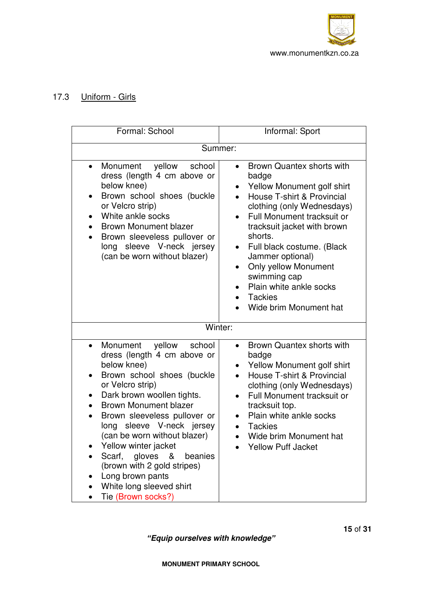

# 17.3 Uniform - Girls

| Formal: School                                                                                                                                                                                                                                                                                                                                                                                                                                                                                         | Informal: Sport                                                                                                                                                                                                                                                                                                                                                                                                                               |  |
|--------------------------------------------------------------------------------------------------------------------------------------------------------------------------------------------------------------------------------------------------------------------------------------------------------------------------------------------------------------------------------------------------------------------------------------------------------------------------------------------------------|-----------------------------------------------------------------------------------------------------------------------------------------------------------------------------------------------------------------------------------------------------------------------------------------------------------------------------------------------------------------------------------------------------------------------------------------------|--|
| Summer:                                                                                                                                                                                                                                                                                                                                                                                                                                                                                                |                                                                                                                                                                                                                                                                                                                                                                                                                                               |  |
| yellow<br>Monument<br>school<br>$\bullet$<br>dress (length 4 cm above or<br>below knee)<br>Brown school shoes (buckle<br>$\bullet$<br>or Velcro strip)<br>White ankle socks<br>$\bullet$<br><b>Brown Monument blazer</b><br>$\bullet$<br>Brown sleeveless pullover or<br>$\bullet$<br>long sleeve V-neck jersey<br>(can be worn without blazer)                                                                                                                                                        | Brown Quantex shorts with<br>$\bullet$<br>badge<br>Yellow Monument golf shirt<br>$\bullet$<br>House T-shirt & Provincial<br>clothing (only Wednesdays)<br><b>Full Monument tracksuit or</b><br>$\bullet$<br>tracksuit jacket with brown<br>shorts.<br>Full black costume. (Black<br>$\bullet$<br>Jammer optional)<br><b>Only yellow Monument</b><br>$\bullet$<br>swimming cap<br>Plain white ankle socks<br>Tackies<br>Wide brim Monument hat |  |
| Winter:                                                                                                                                                                                                                                                                                                                                                                                                                                                                                                |                                                                                                                                                                                                                                                                                                                                                                                                                                               |  |
| yellow school<br>Monument<br>$\bullet$<br>dress (length 4 cm above or<br>below knee)<br>Brown school shoes (buckle<br>$\bullet$<br>or Velcro strip)<br>Dark brown woollen tights.<br>$\bullet$<br><b>Brown Monument blazer</b><br>$\bullet$<br>Brown sleeveless pullover or<br>long sleeve V-neck jersey<br>(can be worn without blazer)<br>Yellow winter jacket<br>Scarf, gloves<br>&<br>beanies<br>(brown with 2 gold stripes)<br>Long brown pants<br>White long sleeved shirt<br>Tie (Brown socks?) | Brown Quantex shorts with<br>$\bullet$<br>badge<br>Yellow Monument golf shirt<br>$\bullet$<br>House T-shirt & Provincial<br>$\bullet$<br>clothing (only Wednesdays)<br><b>Full Monument tracksuit or</b><br>$\bullet$<br>tracksuit top.<br>Plain white ankle socks<br><b>Tackies</b><br>Wide brim Monument hat<br><b>Yellow Puff Jacket</b>                                                                                                   |  |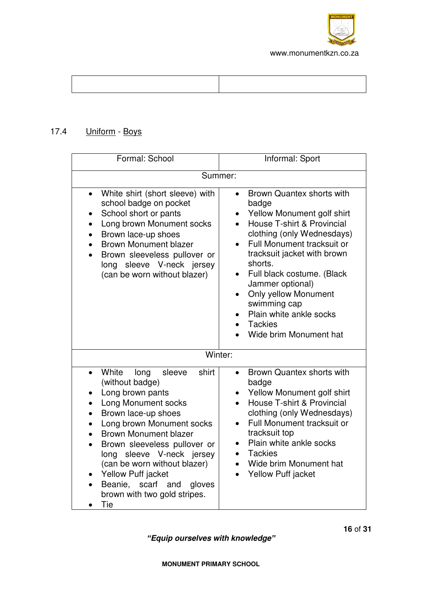

# 17.4 Uniform - Boys

| Formal: School                                                                                                                                                                                                                                                                                                                                                                                                                                      | Informal: Sport                                                                                                                                                                                                                                                                                                                                                                                                                                                                      |  |
|-----------------------------------------------------------------------------------------------------------------------------------------------------------------------------------------------------------------------------------------------------------------------------------------------------------------------------------------------------------------------------------------------------------------------------------------------------|--------------------------------------------------------------------------------------------------------------------------------------------------------------------------------------------------------------------------------------------------------------------------------------------------------------------------------------------------------------------------------------------------------------------------------------------------------------------------------------|--|
| Summer:                                                                                                                                                                                                                                                                                                                                                                                                                                             |                                                                                                                                                                                                                                                                                                                                                                                                                                                                                      |  |
| White shirt (short sleeve) with<br>$\bullet$<br>school badge on pocket<br>School short or pants<br>Long brown Monument socks<br>Brown lace-up shoes<br><b>Brown Monument blazer</b><br>Brown sleeveless pullover or<br>long sleeve V-neck jersey<br>(can be worn without blazer)                                                                                                                                                                    | Brown Quantex shorts with<br>$\bullet$<br>badge<br>Yellow Monument golf shirt<br>$\bullet$<br>House T-shirt & Provincial<br>$\bullet$<br>clothing (only Wednesdays)<br>Full Monument tracksuit or<br>$\bullet$<br>tracksuit jacket with brown<br>shorts.<br>Full black costume. (Black<br>$\bullet$<br>Jammer optional)<br><b>Only yellow Monument</b><br>$\bullet$<br>swimming cap<br>Plain white ankle socks<br>$\bullet$<br><b>Tackies</b><br>$\bullet$<br>Wide brim Monument hat |  |
| Winter:                                                                                                                                                                                                                                                                                                                                                                                                                                             |                                                                                                                                                                                                                                                                                                                                                                                                                                                                                      |  |
| White<br>shirt<br>long<br>sleeve<br>$\bullet$<br>(without badge)<br>Long brown pants<br><b>Long Monument socks</b><br>$\bullet$<br>Brown lace-up shoes<br>$\bullet$<br>Long brown Monument socks<br>$\bullet$<br><b>Brown Monument blazer</b><br>Brown sleeveless pullover or<br>long sleeve V-neck jersey<br>(can be worn without blazer)<br>Yellow Puff jacket<br>$\bullet$<br>Beanie, scarf and<br>gloves<br>brown with two gold stripes.<br>Tie | Brown Quantex shorts with<br>$\bullet$<br>badge<br>Yellow Monument golf shirt<br>$\bullet$<br>House T-shirt & Provincial<br>$\bullet$<br>clothing (only Wednesdays)<br>Full Monument tracksuit or<br>$\bullet$<br>tracksuit top<br>Plain white ankle socks<br>$\bullet$<br><b>Tackies</b><br>Wide brim Monument hat<br><b>Yellow Puff jacket</b>                                                                                                                                     |  |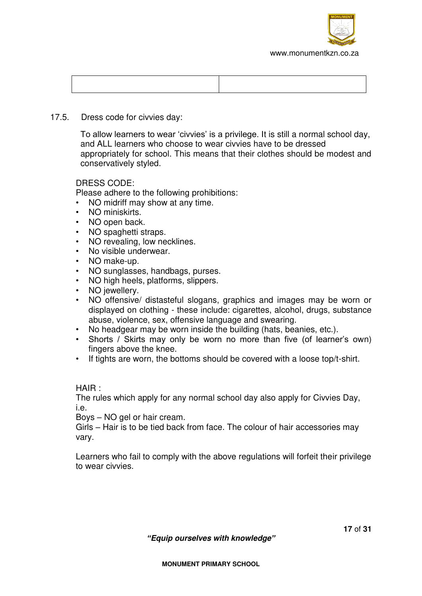

## 17.5. Dress code for civvies day:

To allow learners to wear 'civvies' is a privilege. It is still a normal school day, and ALL learners who choose to wear civvies have to be dressed appropriately for school. This means that their clothes should be modest and conservatively styled.

## DRESS CODE:

Please adhere to the following prohibitions:

- NO midriff may show at any time.
- NO miniskirts.
- NO open back.
- NO spaghetti straps.
- NO revealing, low necklines.
- No visible underwear.
- NO make-up.
- NO sunglasses, handbags, purses.
- NO high heels, platforms, slippers.
- NO jewellery.
- NO offensive/ distasteful slogans, graphics and images may be worn or displayed on clothing - these include: cigarettes, alcohol, drugs, substance abuse, violence, sex, offensive language and swearing.
- No headgear may be worn inside the building (hats, beanies, etc.).
- Shorts / Skirts may only be worn no more than five (of learner's own) fingers above the knee.
- If tights are worn, the bottoms should be covered with a loose top/t-shirt.

HAIR :

The rules which apply for any normal school day also apply for Civvies Day, i.e.

Boys – NO gel or hair cream.

Girls – Hair is to be tied back from face. The colour of hair accessories may vary.

Learners who fail to comply with the above regulations will forfeit their privilege to wear civvies.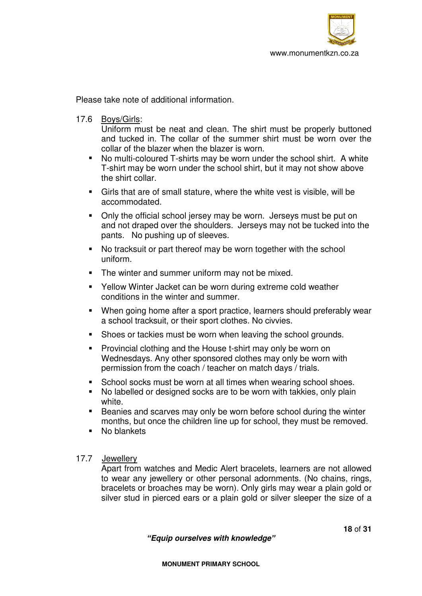

Please take note of additional information.

17.6 Boys/Girls:

Uniform must be neat and clean. The shirt must be properly buttoned and tucked in. The collar of the summer shirt must be worn over the collar of the blazer when the blazer is worn.

- No multi-coloured T-shirts may be worn under the school shirt. A white T-shirt may be worn under the school shirt, but it may not show above the shirt collar.
- Girls that are of small stature, where the white vest is visible, will be accommodated.
- Only the official school jersey may be worn. Jerseys must be put on and not draped over the shoulders. Jerseys may not be tucked into the pants. No pushing up of sleeves.
- No tracksuit or part thereof may be worn together with the school uniform.
- The winter and summer uniform may not be mixed.
- Yellow Winter Jacket can be worn during extreme cold weather conditions in the winter and summer.
- When going home after a sport practice, learners should preferably wear a school tracksuit, or their sport clothes. No civvies.
- Shoes or tackies must be worn when leaving the school grounds.
- **Provincial clothing and the House t-shirt may only be worn on** Wednesdays. Any other sponsored clothes may only be worn with permission from the coach / teacher on match days / trials.
- School socks must be worn at all times when wearing school shoes.
- No labelled or designed socks are to be worn with takkies, only plain white.
- Beanies and scarves may only be worn before school during the winter months, but once the children line up for school, they must be removed.
- No blankets

# 17.7 Jewellery

Apart from watches and Medic Alert bracelets, learners are not allowed to wear any jewellery or other personal adornments. (No chains, rings, bracelets or broaches may be worn). Only girls may wear a plain gold or silver stud in pierced ears or a plain gold or silver sleeper the size of a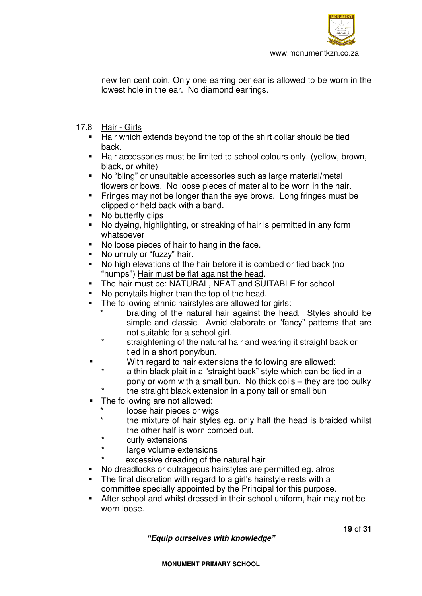

new ten cent coin. Only one earring per ear is allowed to be worn in the lowest hole in the ear. No diamond earrings.

- 17.8 Hair Girls
	- Hair which extends beyond the top of the shirt collar should be tied back.
	- Hair accessories must be limited to school colours only. (yellow, brown, black, or white)
	- No "bling" or unsuitable accessories such as large material/metal flowers or bows. No loose pieces of material to be worn in the hair.
	- Fringes may not be longer than the eye brows. Long fringes must be clipped or held back with a band.
	- No butterfly clips
	- No dyeing, highlighting, or streaking of hair is permitted in any form whatsoever
	- No loose pieces of hair to hang in the face.
	- No unruly or "fuzzy" hair.
	- No high elevations of the hair before it is combed or tied back (no "humps") Hair must be flat against the head.
	- The hair must be: NATURAL, NEAT and SUITABLE for school
	- No ponytails higher than the top of the head.
	- **The following ethnic hairstyles are allowed for girls:** 
		- braiding of the natural hair against the head. Styles should be simple and classic. Avoid elaborate or "fancy" patterns that are not suitable for a school girl.
		- straightening of the natural hair and wearing it straight back or tied in a short pony/bun.
		- With regard to hair extensions the following are allowed:
			- a thin black plait in a "straight back" style which can be tied in a pony or worn with a small bun. No thick coils – they are too bulky
			- the straight black extension in a pony tail or small bun
	- The following are not allowed:
		- loose hair pieces or wigs
		- the mixture of hair styles eg. only half the head is braided whilst the other half is worn combed out.
		- curly extensions
		- large volume extensions
			- excessive dreading of the natural hair
	- No dreadlocks or outrageous hairstyles are permitted eg. afros
	- The final discretion with regard to a girl's hairstyle rests with a committee specially appointed by the Principal for this purpose.
	- After school and whilst dressed in their school uniform, hair may not be worn loose.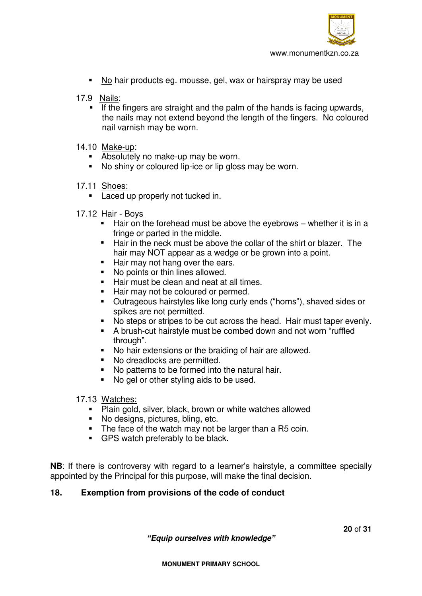

- No hair products eg. mousse, gel, wax or hairspray may be used
- 17.9 Nails:
	- If the fingers are straight and the palm of the hands is facing upwards, the nails may not extend beyond the length of the fingers. No coloured nail varnish may be worn.
- 14.10 Make-up:
	- Absolutely no make-up may be worn.
	- No shiny or coloured lip-ice or lip gloss may be worn.
- 17.11 Shoes:
	- **Laced up properly not tucked in.**
- 17.12 Hair Boys
	- $\blacksquare$  Hair on the forehead must be above the eyebrows whether it is in a fringe or parted in the middle.
	- Hair in the neck must be above the collar of the shirt or blazer. The hair may NOT appear as a wedge or be grown into a point.
	- Hair may not hang over the ears.
	- No points or thin lines allowed.
	- Hair must be clean and neat at all times.
	- Hair may not be coloured or permed.
	- Outrageous hairstyles like long curly ends ("horns"), shaved sides or spikes are not permitted.
	- No steps or stripes to be cut across the head. Hair must taper evenly.
	- A brush-cut hairstyle must be combed down and not worn "ruffled through".
	- No hair extensions or the braiding of hair are allowed.
	- No dreadlocks are permitted.
	- No patterns to be formed into the natural hair.
	- No gel or other styling aids to be used.

### 17.13 Watches:

- **Plain gold, silver, black, brown or white watches allowed**
- No designs, pictures, bling, etc.
- The face of the watch may not be larger than a R5 coin.
- GPS watch preferably to be black.

**NB**: If there is controversy with regard to a learner's hairstyle, a committee specially appointed by the Principal for this purpose, will make the final decision.

# **18. Exemption from provisions of the code of conduct**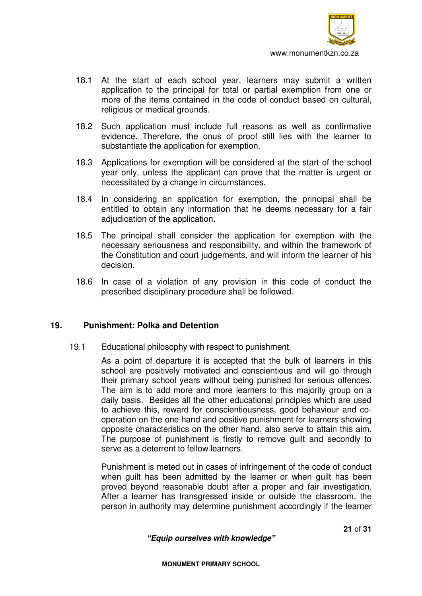

- 18.1 At the start of each school year, learners may submit a written application to the principal for total or partial exemption from one or more of the items contained in the code of conduct based on cultural, religious or medical grounds.
- 18.2 Such application must include full reasons as well as confirmative evidence. Therefore, the onus of proof still lies with the learner to substantiate the application for exemption.
- 18.3 Applications for exemption will be considered at the start of the school year only, unless the applicant can prove that the matter is urgent or necessitated by a change in circumstances.
- 18.4 In considering an application for exemption, the principal shall be entitled to obtain any information that he deems necessary for a fair adjudication of the application.
- 18.5 The principal shall consider the application for exemption with the necessary seriousness and responsibility, and within the framework of the Constitution and court judgements, and will inform the learner of his decision.
- 18.6 In case of a violation of any provision in this code of conduct the prescribed disciplinary procedure shall be followed.

### **19. Punishment: Polka and Detention**

#### 19.1Educational philosophy with respect to punishment.

 As a point of departure it is accepted that the bulk of learners in this school are positively motivated and conscientious and will go through their primary school years without being punished for serious offences. The aim is to add more and more learners to this majority group on a daily basis. Besides all the other educational principles which are used to achieve this, reward for conscientiousness, good behaviour and cooperation on the one hand and positive punishment for learners showing opposite characteristics on the other hand, also serve to attain this aim. The purpose of punishment is firstly to remove guilt and secondly to serve as a deterrent to fellow learners.

 Punishment is meted out in cases of infringement of the code of conduct when guilt has been admitted by the learner or when guilt has been proved beyond reasonable doubt after a proper and fair investigation. After a learner has transgressed inside or outside the classroom, the person in authority may determine punishment accordingly if the learner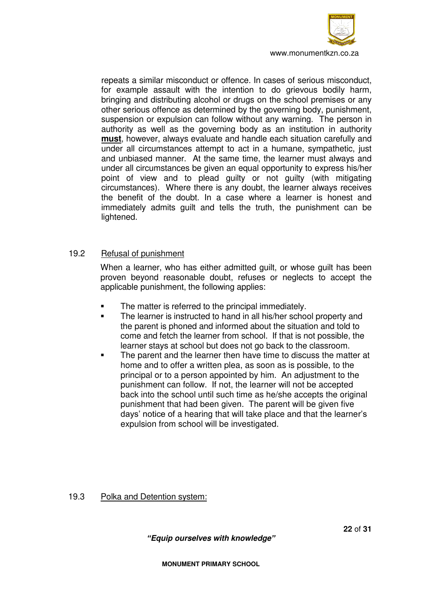

www.monumentkzn.co.za

repeats a similar misconduct or offence. In cases of serious misconduct, for example assault with the intention to do grievous bodily harm, bringing and distributing alcohol or drugs on the school premises or any other serious offence as determined by the governing body, punishment, suspension or expulsion can follow without any warning. The person in authority as well as the governing body as an institution in authority **must**, however, always evaluate and handle each situation carefully and under all circumstances attempt to act in a humane, sympathetic, just and unbiased manner. At the same time, the learner must always and under all circumstances be given an equal opportunity to express his/her point of view and to plead guilty or not guilty (with mitigating circumstances). Where there is any doubt, the learner always receives the benefit of the doubt. In a case where a learner is honest and immediately admits guilt and tells the truth, the punishment can be lightened.

#### 19.2 Refusal of punishment

When a learner, who has either admitted guilt, or whose guilt has been proven beyond reasonable doubt, refuses or neglects to accept the applicable punishment, the following applies:

- The matter is referred to the principal immediately.
- The learner is instructed to hand in all his/her school property and the parent is phoned and informed about the situation and told to come and fetch the learner from school. If that is not possible, the learner stays at school but does not go back to the classroom.
- The parent and the learner then have time to discuss the matter at home and to offer a written plea, as soon as is possible, to the principal or to a person appointed by him. An adjustment to the punishment can follow. If not, the learner will not be accepted back into the school until such time as he/she accepts the original punishment that had been given. The parent will be given five days' notice of a hearing that will take place and that the learner's expulsion from school will be investigated.

19.3 Polka and Detention system:

**22** of **31**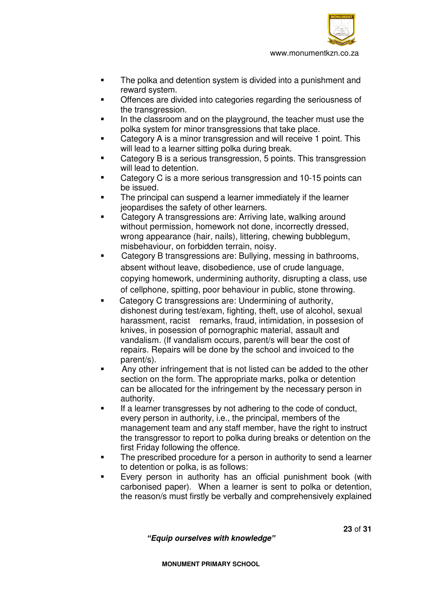

- **The polka and detention system is divided into a punishment and** reward system.
- Offences are divided into categories regarding the seriousness of the transgression.
- In the classroom and on the playground, the teacher must use the polka system for minor transgressions that take place.
- Category A is a minor transgression and will receive 1 point. This will lead to a learner sitting polka during break.
- Category B is a serious transgression, 5 points. This transgression will lead to detention.
- Category C is a more serious transgression and 10-15 points can be issued.
- The principal can suspend a learner immediately if the learner jeopardises the safety of other learners.
- Category A transgressions are: Arriving late, walking around without permission, homework not done, incorrectly dressed, wrong appearance (hair, nails), littering, chewing bubblegum, misbehaviour, on forbidden terrain, noisy.
- Category B transgressions are: Bullying, messing in bathrooms, absent without leave, disobedience, use of crude language, copying homework, undermining authority, disrupting a class, use of cellphone, spitting, poor behaviour in public, stone throwing.
- Category C transgressions are: Undermining of authority, dishonest during test/exam, fighting, theft, use of alcohol, sexual harassment, racist remarks, fraud, intimidation, in possesion of knives, in posession of pornographic material, assault and vandalism. (If vandalism occurs, parent/s will bear the cost of repairs. Repairs will be done by the school and invoiced to the parent/s).
- **EXECT** Any other infringement that is not listed can be added to the other section on the form. The appropriate marks, polka or detention can be allocated for the infringement by the necessary person in authority.
- If a learner transgresses by not adhering to the code of conduct, every person in authority, i.e., the principal, members of the management team and any staff member, have the right to instruct the transgressor to report to polka during breaks or detention on the first Friday following the offence.
- The prescribed procedure for a person in authority to send a learner to detention or polka, is as follows:
- Every person in authority has an official punishment book (with carbonised paper). When a learner is sent to polka or detention, the reason/s must firstly be verbally and comprehensively explained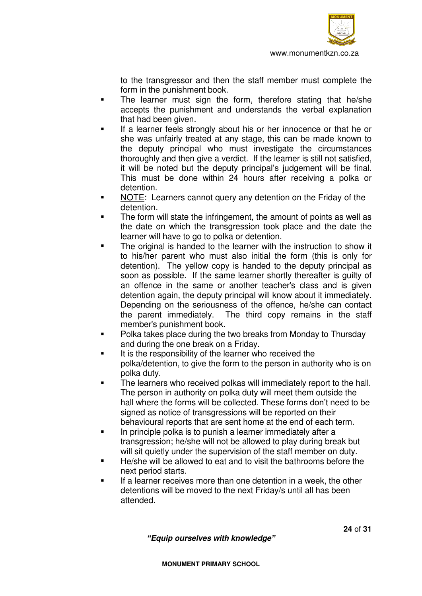

to the transgressor and then the staff member must complete the form in the punishment book.

- The learner must sign the form, therefore stating that he/she accepts the punishment and understands the verbal explanation that had been given.
- If a learner feels strongly about his or her innocence or that he or she was unfairly treated at any stage, this can be made known to the deputy principal who must investigate the circumstances thoroughly and then give a verdict. If the learner is still not satisfied, it will be noted but the deputy principal's judgement will be final. This must be done within 24 hours after receiving a polka or detention.
- NOTE: Learners cannot query any detention on the Friday of the detention.
- The form will state the infringement, the amount of points as well as the date on which the transgression took place and the date the learner will have to go to polka or detention.
- The original is handed to the learner with the instruction to show it to his/her parent who must also initial the form (this is only for detention). The yellow copy is handed to the deputy principal as soon as possible. If the same learner shortly thereafter is guilty of an offence in the same or another teacher's class and is given detention again, the deputy principal will know about it immediately. Depending on the seriousness of the offence, he/she can contact the parent immediately. The third copy remains in the staff member's punishment book.
- Polka takes place during the two breaks from Monday to Thursday and during the one break on a Friday.
- It is the responsibility of the learner who received the polka/detention, to give the form to the person in authority who is on polka duty.
- **The learners who received polkas will immediately report to the hall.** The person in authority on polka duty will meet them outside the hall where the forms will be collected. These forms don't need to be signed as notice of transgressions will be reported on their behavioural reports that are sent home at the end of each term.
- In principle polka is to punish a learner immediately after a transgression; he/she will not be allowed to play during break but will sit quietly under the supervision of the staff member on duty.
- He/she will be allowed to eat and to visit the bathrooms before the next period starts.
- If a learner receives more than one detention in a week, the other detentions will be moved to the next Friday/s until all has been attended.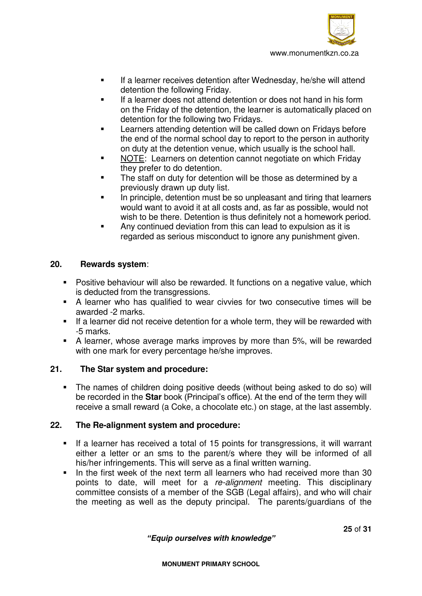

- If a learner receives detention after Wednesday, he/she will attend detention the following Friday.
- If a learner does not attend detention or does not hand in his form on the Friday of the detention, the learner is automatically placed on detention for the following two Fridays.
- Learners attending detention will be called down on Fridays before the end of the normal school day to report to the person in authority on duty at the detention venue, which usually is the school hall.
- NOTE: Learners on detention cannot negotiate on which Friday they prefer to do detention.
- The staff on duty for detention will be those as determined by a previously drawn up duty list.
- In principle, detention must be so unpleasant and tiring that learners would want to avoid it at all costs and, as far as possible, would not wish to be there. Detention is thus definitely not a homework period.
- Any continued deviation from this can lead to expulsion as it is regarded as serious misconduct to ignore any punishment given.

### **20. Rewards system**:

- Positive behaviour will also be rewarded. It functions on a negative value, which is deducted from the transgressions.
- A learner who has qualified to wear civvies for two consecutive times will be awarded -2 marks.
- If a learner did not receive detention for a whole term, they will be rewarded with -5 marks.
- A learner, whose average marks improves by more than 5%, will be rewarded with one mark for every percentage he/she improves.

# **21. The Star system and procedure:**

 The names of children doing positive deeds (without being asked to do so) will be recorded in the **Star** book (Principal's office). At the end of the term they will receive a small reward (a Coke, a chocolate etc.) on stage, at the last assembly.

# **22. The Re-alignment system and procedure:**

- If a learner has received a total of 15 points for transgressions, it will warrant either a letter or an sms to the parent/s where they will be informed of all his/her infringements. This will serve as a final written warning.
- In the first week of the next term all learners who had received more than 30 points to date, will meet for a *re-alignment* meeting. This disciplinary committee consists of a member of the SGB (Legal affairs), and who will chair the meeting as well as the deputy principal. The parents/guardians of the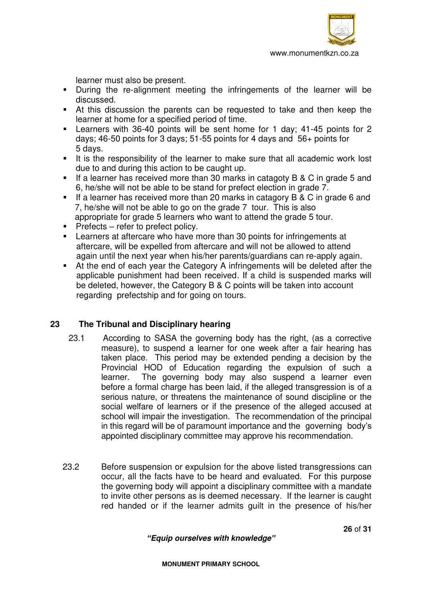

learner must also be present.

- During the re-alignment meeting the infringements of the learner will be discussed.
- At this discussion the parents can be requested to take and then keep the learner at home for a specified period of time.
- Learners with 36-40 points will be sent home for 1 day; 41-45 points for 2 days; 46-50 points for 3 days; 51-55 points for 4 days and 56+ points for 5 days.
- It is the responsibility of the learner to make sure that all academic work lost due to and during this action to be caught up.
- If a learner has received more than 30 marks in catagoty B & C in grade 5 and 6, he/she will not be able to be stand for prefect election in grade 7.
- If a learner has received more than 20 marks in catagory B & C in grade 6 and 7, he/she will not be able to go on the grade 7 tour. This is also appropriate for grade 5 learners who want to attend the grade 5 tour.
- $\blacksquare$  Prefects refer to prefect policy.
- Learners at aftercare who have more than 30 points for infringements at aftercare, will be expelled from aftercare and will not be allowed to attend again until the next year when his/her parents/guardians can re-apply again.
- At the end of each year the Category A infringements will be deleted after the applicable punishment had been received. If a child is suspended marks will be deleted, however, the Category B & C points will be taken into account regarding prefectship and for going on tours.

# **23 The Tribunal and Disciplinary hearing**

- 23.1 According to SASA the governing body has the right, (as a corrective measure), to suspend a learner for one week after a fair hearing has taken place. This period may be extended pending a decision by the Provincial HOD of Education regarding the expulsion of such a learner. The governing body may also suspend a learner even before a formal charge has been laid, if the alleged transgression is of a serious nature, or threatens the maintenance of sound discipline or the social welfare of learners or if the presence of the alleged accused at school will impair the investigation. The recommendation of the principal in this regard will be of paramount importance and the governing body's appointed disciplinary committee may approve his recommendation.
- 23.2 Before suspension or expulsion for the above listed transgressions can occur, all the facts have to be heard and evaluated. For this purpose the governing body will appoint a disciplinary committee with a mandate to invite other persons as is deemed necessary. If the learner is caught red handed or if the learner admits guilt in the presence of his/her

*"Equip ourselves with knowledge"*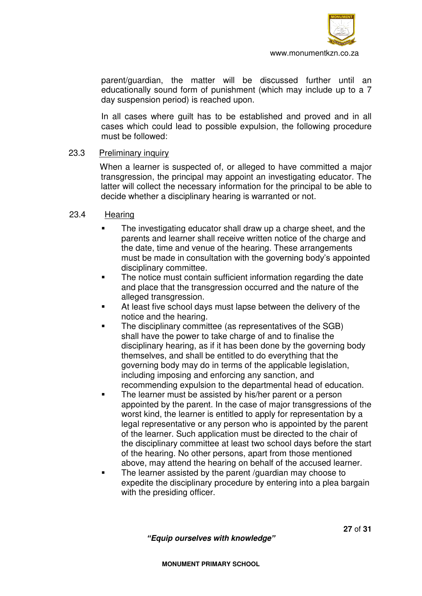

 parent/guardian, the matter will be discussed further until an educationally sound form of punishment (which may include up to a 7 day suspension period) is reached upon.

 In all cases where guilt has to be established and proved and in all cases which could lead to possible expulsion, the following procedure must be followed:

### 23.3 Preliminary inquiry

 When a learner is suspected of, or alleged to have committed a major transgression, the principal may appoint an investigating educator. The latter will collect the necessary information for the principal to be able to decide whether a disciplinary hearing is warranted or not.

#### 23.4 Hearing

- The investigating educator shall draw up a charge sheet, and the parents and learner shall receive written notice of the charge and the date, time and venue of the hearing. These arrangements must be made in consultation with the governing body's appointed disciplinary committee.
- The notice must contain sufficient information regarding the date and place that the transgression occurred and the nature of the alleged transgression.
- At least five school days must lapse between the delivery of the notice and the hearing.
- The disciplinary committee (as representatives of the SGB) shall have the power to take charge of and to finalise the disciplinary hearing, as if it has been done by the governing body themselves, and shall be entitled to do everything that the governing body may do in terms of the applicable legislation, including imposing and enforcing any sanction, and recommending expulsion to the departmental head of education.
- The learner must be assisted by his/her parent or a person appointed by the parent. In the case of major transgressions of the worst kind, the learner is entitled to apply for representation by a legal representative or any person who is appointed by the parent of the learner. Such application must be directed to the chair of the disciplinary committee at least two school days before the start of the hearing. No other persons, apart from those mentioned above, may attend the hearing on behalf of the accused learner.
- The learner assisted by the parent /guardian may choose to expedite the disciplinary procedure by entering into a plea bargain with the presiding officer.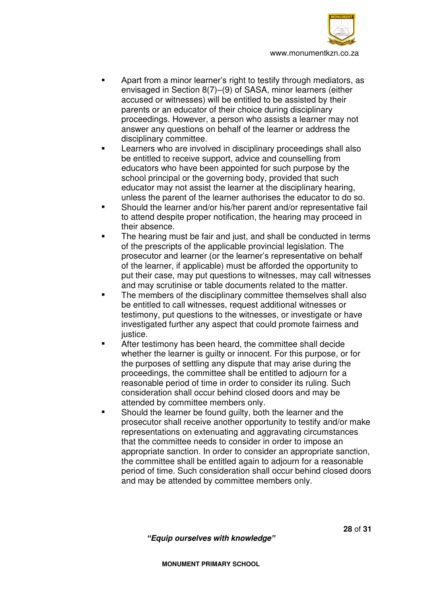

- Apart from a minor learner's right to testify through mediators, as envisaged in Section 8(7)–(9) of SASA, minor learners (either accused or witnesses) will be entitled to be assisted by their parents or an educator of their choice during disciplinary proceedings. However, a person who assists a learner may not answer any questions on behalf of the learner or address the disciplinary committee.
- Learners who are involved in disciplinary proceedings shall also be entitled to receive support, advice and counselling from educators who have been appointed for such purpose by the school principal or the governing body, provided that such educator may not assist the learner at the disciplinary hearing, unless the parent of the learner authorises the educator to do so.
- Should the learner and/or his/her parent and/or representative fail to attend despite proper notification, the hearing may proceed in their absence.
- The hearing must be fair and just, and shall be conducted in terms of the prescripts of the applicable provincial legislation. The prosecutor and learner (or the learner's representative on behalf of the learner, if applicable) must be afforded the opportunity to put their case, may put questions to witnesses, may call witnesses and may scrutinise or table documents related to the matter.
- The members of the disciplinary committee themselves shall also be entitled to call witnesses, request additional witnesses or testimony, put questions to the witnesses, or investigate or have investigated further any aspect that could promote fairness and justice.
- After testimony has been heard, the committee shall decide whether the learner is guilty or innocent. For this purpose, or for the purposes of settling any dispute that may arise during the proceedings, the committee shall be entitled to adjourn for a reasonable period of time in order to consider its ruling. Such consideration shall occur behind closed doors and may be attended by committee members only.
- **Should the learner be found guilty, both the learner and the** prosecutor shall receive another opportunity to testify and/or make representations on extenuating and aggravating circumstances that the committee needs to consider in order to impose an appropriate sanction. In order to consider an appropriate sanction, the committee shall be entitled again to adjourn for a reasonable period of time. Such consideration shall occur behind closed doors and may be attended by committee members only.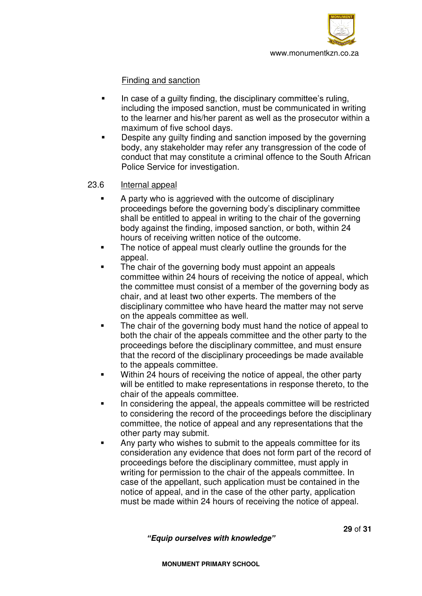

## Finding and sanction

- In case of a quilty finding, the disciplinary committee's ruling, including the imposed sanction, must be communicated in writing to the learner and his/her parent as well as the prosecutor within a maximum of five school days.
- Despite any guilty finding and sanction imposed by the governing body, any stakeholder may refer any transgression of the code of conduct that may constitute a criminal offence to the South African Police Service for investigation.

## 23.6 Internal appeal

- A party who is aggrieved with the outcome of disciplinary proceedings before the governing body's disciplinary committee shall be entitled to appeal in writing to the chair of the governing body against the finding, imposed sanction, or both, within 24 hours of receiving written notice of the outcome.
- The notice of appeal must clearly outline the grounds for the appeal.
- The chair of the governing body must appoint an appeals committee within 24 hours of receiving the notice of appeal, which the committee must consist of a member of the governing body as chair, and at least two other experts. The members of the disciplinary committee who have heard the matter may not serve on the appeals committee as well.
- The chair of the governing body must hand the notice of appeal to both the chair of the appeals committee and the other party to the proceedings before the disciplinary committee, and must ensure that the record of the disciplinary proceedings be made available to the appeals committee.
- Within 24 hours of receiving the notice of appeal, the other party will be entitled to make representations in response thereto, to the chair of the appeals committee.
- In considering the appeal, the appeals committee will be restricted to considering the record of the proceedings before the disciplinary committee, the notice of appeal and any representations that the other party may submit.
- Any party who wishes to submit to the appeals committee for its consideration any evidence that does not form part of the record of proceedings before the disciplinary committee, must apply in writing for permission to the chair of the appeals committee. In case of the appellant, such application must be contained in the notice of appeal, and in the case of the other party, application must be made within 24 hours of receiving the notice of appeal.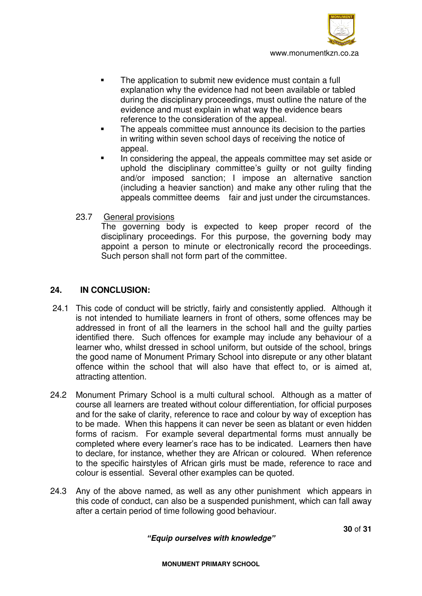

- The application to submit new evidence must contain a full explanation why the evidence had not been available or tabled during the disciplinary proceedings, must outline the nature of the evidence and must explain in what way the evidence bears reference to the consideration of the appeal.
- The appeals committee must announce its decision to the parties in writing within seven school days of receiving the notice of appeal.
- In considering the appeal, the appeals committee may set aside or uphold the disciplinary committee's guilty or not guilty finding and/or imposed sanction; I impose an alternative sanction (including a heavier sanction) and make any other ruling that the appeals committee deems fair and just under the circumstances.
- 23.7 General provisions

 The governing body is expected to keep proper record of the disciplinary proceedings. For this purpose, the governing body may appoint a person to minute or electronically record the proceedings. Such person shall not form part of the committee.

## **24. IN CONCLUSION:**

- 24.1 This code of conduct will be strictly, fairly and consistently applied. Although it is not intended to humiliate learners in front of others, some offences may be addressed in front of all the learners in the school hall and the guilty parties identified there. Such offences for example may include any behaviour of a learner who, whilst dressed in school uniform, but outside of the school, brings the good name of Monument Primary School into disrepute or any other blatant offence within the school that will also have that effect to, or is aimed at, attracting attention.
- 24.2 Monument Primary School is a multi cultural school. Although as a matter of course all learners are treated without colour differentiation, for official purposes and for the sake of clarity, reference to race and colour by way of exception has to be made. When this happens it can never be seen as blatant or even hidden forms of racism. For example several departmental forms must annually be completed where every learner's race has to be indicated. Learners then have to declare, for instance, whether they are African or coloured. When reference to the specific hairstyles of African girls must be made, reference to race and colour is essential. Several other examples can be quoted.
- 24.3 Any of the above named, as well as any other punishment which appears in this code of conduct, can also be a suspended punishment, which can fall away after a certain period of time following good behaviour.

*"Equip ourselves with knowledge"*

**30** of **31**